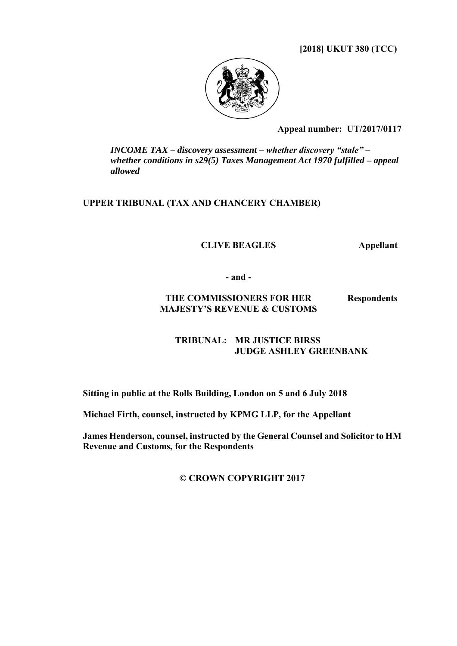**[2018] UKUT 380 (TCC)** 



**Appeal number:UT/2017/0117**

*INCOME TAX – discovery assessment – whether discovery "stale" – whether conditions in s29(5) Taxes Management Act 1970 fulfilled – appeal allowed*

### **UPPER TRIBUNAL (TAX AND CHANCERY CHAMBER)**

**CLIVE BEAGLES Appellant**

**- and -**

#### **THE COMMISSIONERS FOR HER MAJESTY'S REVENUE & CUSTOMS Respondents**

## **TRIBUNAL: MR JUSTICE BIRSS JUDGE ASHLEY GREENBANK**

**Sitting in public at the Rolls Building, London on 5 and 6 July 2018**

**Michael Firth, counsel, instructed by KPMG LLP, for the Appellant**

**James Henderson, counsel, instructed by the General Counsel and Solicitor to HM Revenue and Customs, for the Respondents**

**© CROWN COPYRIGHT 2017**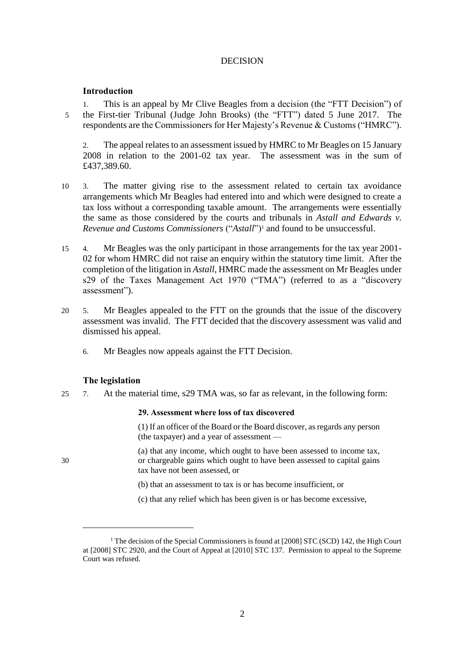### **DECISION**

#### **Introduction**

1. This is an appeal by Mr Clive Beagles from a decision (the "FTT Decision") of 5 the First-tier Tribunal (Judge John Brooks) (the "FTT") dated 5 June 2017. The respondents are the Commissioners for Her Majesty's Revenue & Customs ("HMRC").

2. The appeal relates to an assessment issued by HMRC to Mr Beagles on 15 January 2008 in relation to the 2001-02 tax year. The assessment was in the sum of £437,389.60.

- 10 3. The matter giving rise to the assessment related to certain tax avoidance arrangements which Mr Beagles had entered into and which were designed to create a tax loss without a corresponding taxable amount. The arrangements were essentially the same as those considered by the courts and tribunals in *Astall and Edwards v. Revenue and Customs Commissioners* ("*Astall*")<sup>1</sup> and found to be unsuccessful.
- 15 4. Mr Beagles was the only participant in those arrangements for the tax year 2001- 02 for whom HMRC did not raise an enquiry within the statutory time limit. After the completion of the litigation in *Astall*, HMRC made the assessment on Mr Beagles under s29 of the Taxes Management Act 1970 ("TMA") (referred to as a "discovery assessment").
- 20 5. Mr Beagles appealed to the FTT on the grounds that the issue of the discovery assessment was invalid. The FTT decided that the discovery assessment was valid and dismissed his appeal.
	- 6. Mr Beagles now appeals against the FTT Decision.

#### **The legislation**

25 7. At the material time, s29 TMA was, so far as relevant, in the following form:

#### **29. Assessment where loss of tax discovered**

(1) If an officer of the Board or the Board discover, as regards any person (the taxpayer) and a year of assessment —

(a) that any income, which ought to have been assessed to income tax, 30 or chargeable gains which ought to have been assessed to capital gains tax have not been assessed, or

- (b) that an assessment to tax is or has become insufficient, or
- (c) that any relief which has been given is or has become excessive,

<u>.</u>

<sup>&</sup>lt;sup>1</sup> The decision of the Special Commissioners is found at [2008] STC (SCD) 142, the High Court at [2008] STC 2920, and the Court of Appeal at [2010] STC 137. Permission to appeal to the Supreme Court was refused.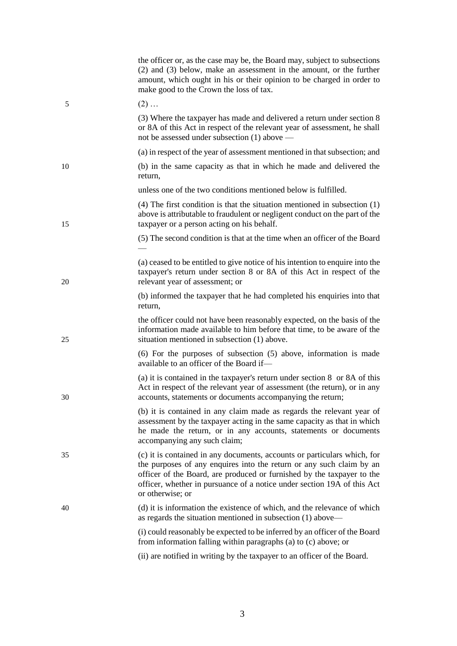|    | the officer or, as the case may be, the Board may, subject to subsections<br>(2) and (3) below, make an assessment in the amount, or the further<br>amount, which ought in his or their opinion to be charged in order to<br>make good to the Crown the loss of tax.                                                      |
|----|---------------------------------------------------------------------------------------------------------------------------------------------------------------------------------------------------------------------------------------------------------------------------------------------------------------------------|
| 5  | $(2)$                                                                                                                                                                                                                                                                                                                     |
|    | (3) Where the taxpayer has made and delivered a return under section 8<br>or 8A of this Act in respect of the relevant year of assessment, he shall<br>not be assessed under subsection (1) above —                                                                                                                       |
|    | (a) in respect of the year of assessment mentioned in that subsection; and                                                                                                                                                                                                                                                |
| 10 | (b) in the same capacity as that in which he made and delivered the<br>return,                                                                                                                                                                                                                                            |
|    | unless one of the two conditions mentioned below is fulfilled.                                                                                                                                                                                                                                                            |
| 15 | $(4)$ The first condition is that the situation mentioned in subsection $(1)$<br>above is attributable to fraudulent or negligent conduct on the part of the<br>taxpayer or a person acting on his behalf.                                                                                                                |
|    | (5) The second condition is that at the time when an officer of the Board                                                                                                                                                                                                                                                 |
| 20 | (a) ceased to be entitled to give notice of his intention to enquire into the<br>taxpayer's return under section 8 or 8A of this Act in respect of the<br>relevant year of assessment; or                                                                                                                                 |
|    | (b) informed the taxpayer that he had completed his enquiries into that<br>return,                                                                                                                                                                                                                                        |
| 25 | the officer could not have been reasonably expected, on the basis of the<br>information made available to him before that time, to be aware of the<br>situation mentioned in subsection (1) above.                                                                                                                        |
|    | $(6)$ For the purposes of subsection $(5)$ above, information is made<br>available to an officer of the Board if-                                                                                                                                                                                                         |
| 30 | (a) it is contained in the taxpayer's return under section $8 \text{ or } 8A \text{ of this}$<br>Act in respect of the relevant year of assessment (the return), or in any<br>accounts, statements or documents accompanying the return;                                                                                  |
|    | (b) it is contained in any claim made as regards the relevant year of<br>assessment by the taxpayer acting in the same capacity as that in which<br>he made the return, or in any accounts, statements or documents<br>accompanying any such claim;                                                                       |
| 35 | (c) it is contained in any documents, accounts or particulars which, for<br>the purposes of any enquires into the return or any such claim by an<br>officer of the Board, are produced or furnished by the taxpayer to the<br>officer, whether in pursuance of a notice under section 19A of this Act<br>or otherwise; or |
| 40 | (d) it is information the existence of which, and the relevance of which<br>as regards the situation mentioned in subsection (1) above—                                                                                                                                                                                   |
|    | (i) could reasonably be expected to be inferred by an officer of the Board<br>from information falling within paragraphs (a) to (c) above; or                                                                                                                                                                             |
|    | (ii) are notified in writing by the taxpayer to an officer of the Board.                                                                                                                                                                                                                                                  |
|    |                                                                                                                                                                                                                                                                                                                           |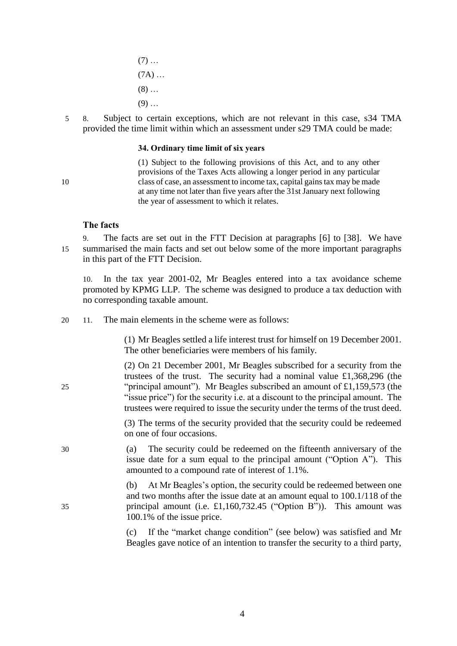$(7)$  ...  $(7A)$  ...  $(8)$  ...  $(9)$  ...

5 8. Subject to certain exceptions, which are not relevant in this case, s34 TMA provided the time limit within which an assessment under s29 TMA could be made:

#### **34. Ordinary time limit of six years**

(1) Subject to the following provisions of this Act, and to any other provisions of the Taxes Acts allowing a longer period in any particular 10 class of case, an assessment to income tax, capital gains tax may be made at any time not later than five years after the 31st January next following the year of assessment to which it relates.

### **The facts**

9. The facts are set out in the FTT Decision at paragraphs [6] to [38]. We have 15 summarised the main facts and set out below some of the more important paragraphs in this part of the FTT Decision.

10. In the tax year 2001-02, Mr Beagles entered into a tax avoidance scheme promoted by KPMG LLP. The scheme was designed to produce a tax deduction with no corresponding taxable amount.

20 11. The main elements in the scheme were as follows:

(1) Mr Beagles settled a life interest trust for himself on 19 December 2001. The other beneficiaries were members of his family.

(2) On 21 December 2001, Mr Beagles subscribed for a security from the trustees of the trust. The security had a nominal value £1,368,296 (the 25 "principal amount"). Mr Beagles subscribed an amount of £1,159,573 (the "issue price") for the security i.e. at a discount to the principal amount. The trustees were required to issue the security under the terms of the trust deed.

> (3) The terms of the security provided that the security could be redeemed on one of four occasions.

30 (a) The security could be redeemed on the fifteenth anniversary of the issue date for a sum equal to the principal amount ("Option A"). This amounted to a compound rate of interest of 1.1%.

(b) At Mr Beagles's option, the security could be redeemed between one and two months after the issue date at an amount equal to 100.1/118 of the 35 principal amount (i.e. £1,160,732.45 ("Option B")). This amount was 100.1% of the issue price.

> (c) If the "market change condition" (see below) was satisfied and Mr Beagles gave notice of an intention to transfer the security to a third party,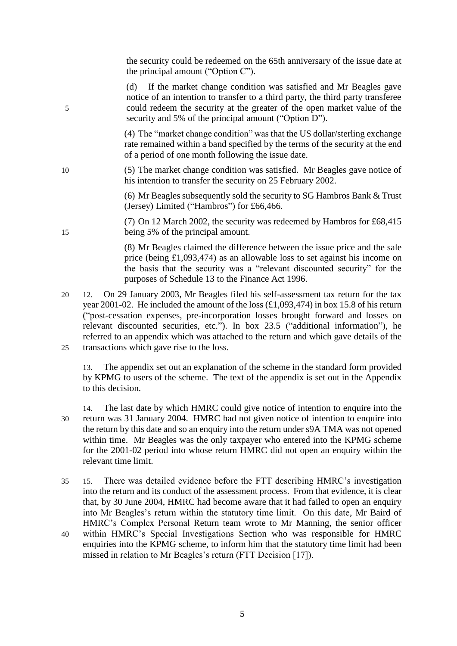the security could be redeemed on the 65th anniversary of the issue date at the principal amount ("Option C").

(d) If the market change condition was satisfied and Mr Beagles gave notice of an intention to transfer to a third party, the third party transferee 5 could redeem the security at the greater of the open market value of the security and 5% of the principal amount ("Option D").

> (4) The "market change condition" was that the US dollar/sterling exchange rate remained within a band specified by the terms of the security at the end of a period of one month following the issue date.

10 (5) The market change condition was satisfied. Mr Beagles gave notice of his intention to transfer the security on 25 February 2002.

> (6) Mr Beagles subsequently sold the security to SG Hambros Bank & Trust (Jersey) Limited ("Hambros") for £66,466.

(7) On 12 March 2002, the security was redeemed by Hambros for £68,415 15 being 5% of the principal amount.

> (8) Mr Beagles claimed the difference between the issue price and the sale price (being £1,093,474) as an allowable loss to set against his income on the basis that the security was a "relevant discounted security" for the purposes of Schedule 13 to the Finance Act 1996.

20 12. On 29 January 2003, Mr Beagles filed his self-assessment tax return for the tax year 2001-02. He included the amount of the loss (£1,093,474) in box 15.8 of his return ("post-cessation expenses, pre-incorporation losses brought forward and losses on relevant discounted securities, etc."). In box 23.5 ("additional information"), he referred to an appendix which was attached to the return and which gave details of the 25 transactions which gave rise to the loss.

13. The appendix set out an explanation of the scheme in the standard form provided by KPMG to users of the scheme. The text of the appendix is set out in the Appendix to this decision.

14. The last date by which HMRC could give notice of intention to enquire into the 30 return was 31 January 2004. HMRC had not given notice of intention to enquire into the return by this date and so an enquiry into the return under s9A TMA was not opened within time. Mr Beagles was the only taxpayer who entered into the KPMG scheme for the 2001-02 period into whose return HMRC did not open an enquiry within the relevant time limit.

- 35 15. There was detailed evidence before the FTT describing HMRC's investigation into the return and its conduct of the assessment process. From that evidence, it is clear that, by 30 June 2004, HMRC had become aware that it had failed to open an enquiry into Mr Beagles's return within the statutory time limit. On this date, Mr Baird of HMRC's Complex Personal Return team wrote to Mr Manning, the senior officer
- 40 within HMRC's Special Investigations Section who was responsible for HMRC enquiries into the KPMG scheme, to inform him that the statutory time limit had been missed in relation to Mr Beagles's return (FTT Decision [17]).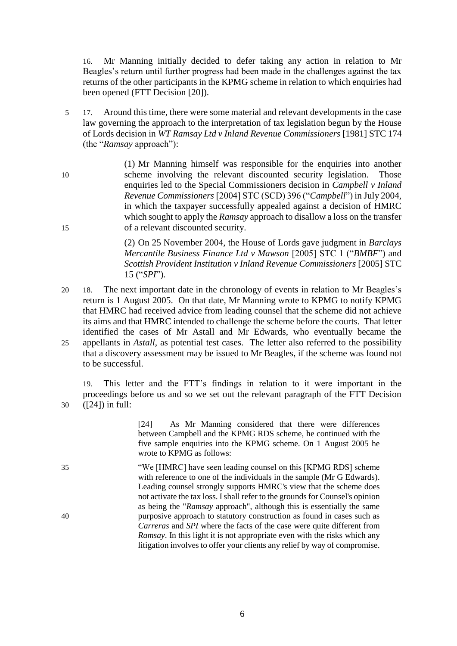16. Mr Manning initially decided to defer taking any action in relation to Mr Beagles's return until further progress had been made in the challenges against the tax returns of the other participants in the KPMG scheme in relation to which enquiries had been opened (FTT Decision [20]).

- 5 17. Around this time, there were some material and relevant developments in the case law governing the approach to the interpretation of tax legislation begun by the House of Lords decision in *WT Ramsay Ltd v Inland Revenue Commissioners* [1981] STC 174 (the "*Ramsay* approach"):
- (1) Mr Manning himself was responsible for the enquiries into another 10 scheme involving the relevant discounted security legislation. Those enquiries led to the Special Commissioners decision in *Campbell v Inland Revenue Commissioners* [2004] STC (SCD) 396 ("*Campbell*") in July 2004, in which the taxpayer successfully appealed against a decision of HMRC which sought to apply the *Ramsay* approach to disallow a loss on the transfer 15 of a relevant discounted security.

(2) On 25 November 2004, the House of Lords gave judgment in *Barclays Mercantile Business Finance Ltd v Mawson* [2005] STC 1 ("*BMBF*") and *Scottish Provident Institution v Inland Revenue Commissioners* [2005] STC 15 ("*SPI*").

20 18. The next important date in the chronology of events in relation to Mr Beagles's return is 1 August 2005. On that date, Mr Manning wrote to KPMG to notify KPMG that HMRC had received advice from leading counsel that the scheme did not achieve its aims and that HMRC intended to challenge the scheme before the courts. That letter identified the cases of Mr Astall and Mr Edwards, who eventually became the 25 appellants in *Astall*, as potential test cases. The letter also referred to the possibility that a discovery assessment may be issued to Mr Beagles, if the scheme was found not to be successful.

19. This letter and the FTT's findings in relation to it were important in the proceedings before us and so we set out the relevant paragraph of the FTT Decision 30 ([24]) in full:

|    | As Mr Manning considered that there were differences<br>[24]                         |
|----|--------------------------------------------------------------------------------------|
|    | between Campbell and the KPMG RDS scheme, he continued with the                      |
|    | five sample enquiries into the KPMG scheme. On 1 August 2005 he                      |
|    | wrote to KPMG as follows:                                                            |
| 35 | "We [HMRC] have seen leading counsel on this [KPMG RDS] scheme                       |
|    | with reference to one of the individuals in the sample (Mr G Edwards).               |
|    | Leading counsel strongly supports HMRC's view that the scheme does                   |
|    | not activate the tax loss. I shall refer to the grounds for Counsel's opinion        |
|    | as being the "Ramsay approach", although this is essentially the same                |
| 40 | purposive approach to statutory construction as found in cases such as               |
|    | <i>Carreras</i> and <i>SPI</i> where the facts of the case were quite different from |
|    | Ramsay. In this light it is not appropriate even with the risks which any            |
|    |                                                                                      |
|    | litigation involves to offer your clients any relief by way of compromise.           |
|    |                                                                                      |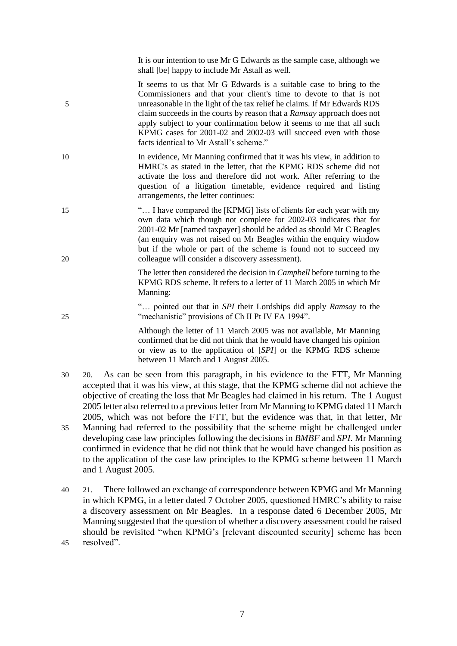It is our intention to use Mr G Edwards as the sample case, although we shall [be] happy to include Mr Astall as well.

It seems to us that Mr G Edwards is a suitable case to bring to the Commissioners and that your client's time to devote to that is not 5 unreasonable in the light of the tax relief he claims. If Mr Edwards RDS claim succeeds in the courts by reason that a *Ramsay* approach does not apply subject to your confirmation below it seems to me that all such KPMG cases for 2001-02 and 2002-03 will succeed even with those facts identical to Mr Astall's scheme."

- 10 In evidence, Mr Manning confirmed that it was his view, in addition to HMRC's as stated in the letter, that the KPMG RDS scheme did not activate the loss and therefore did not work. After referring to the question of a litigation timetable, evidence required and listing arrangements, the letter continues:
- 15 "… I have compared the [KPMG] lists of clients for each year with my own data which though not complete for 2002-03 indicates that for 2001-02 Mr [named taxpayer] should be added as should Mr C Beagles (an enquiry was not raised on Mr Beagles within the enquiry window but if the whole or part of the scheme is found not to succeed my 20 colleague will consider a discovery assessment).
	- The letter then considered the decision in *Campbell* before turning to the KPMG RDS scheme. It refers to a letter of 11 March 2005 in which Mr Manning:
- "… pointed out that in *SPI* their Lordships did apply *Ramsay* to the 25 "mechanistic" provisions of Ch II Pt IV FA 1994".

Although the letter of 11 March 2005 was not available, Mr Manning confirmed that he did not think that he would have changed his opinion or view as to the application of [*SPI*] or the KPMG RDS scheme between 11 March and 1 August 2005.

- 30 20. As can be seen from this paragraph, in his evidence to the FTT, Mr Manning accepted that it was his view, at this stage, that the KPMG scheme did not achieve the objective of creating the loss that Mr Beagles had claimed in his return. The 1 August 2005 letter also referred to a previous letter from Mr Manning to KPMG dated 11 March 2005, which was not before the FTT, but the evidence was that, in that letter, Mr 35 Manning had referred to the possibility that the scheme might be challenged under developing case law principles following the decisions in *BMBF* and *SPI*. Mr Manning
- confirmed in evidence that he did not think that he would have changed his position as to the application of the case law principles to the KPMG scheme between 11 March and 1 August 2005.
- 40 21. There followed an exchange of correspondence between KPMG and Mr Manning in which KPMG, in a letter dated 7 October 2005, questioned HMRC's ability to raise a discovery assessment on Mr Beagles. In a response dated 6 December 2005, Mr Manning suggested that the question of whether a discovery assessment could be raised should be revisited "when KPMG's [relevant discounted security] scheme has been 45 resolved".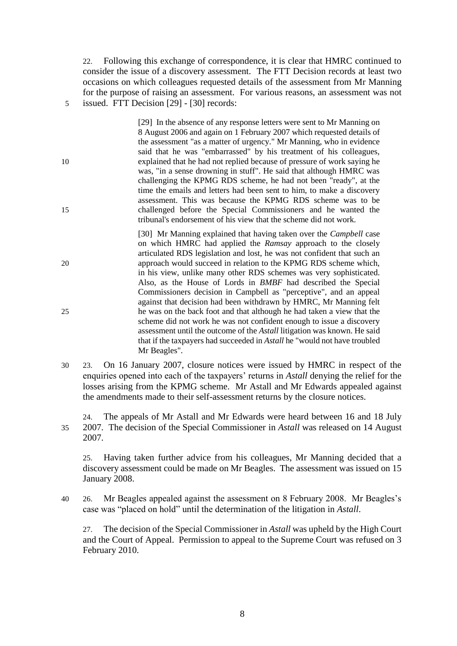22. Following this exchange of correspondence, it is clear that HMRC continued to consider the issue of a discovery assessment. The FTT Decision records at least two occasions on which colleagues requested details of the assessment from Mr Manning for the purpose of raising an assessment. For various reasons, an assessment was not 5 issued. FTT Decision [29] - [30] records:

[29] In the absence of any response letters were sent to Mr Manning on 8 August 2006 and again on 1 February 2007 which requested details of the assessment "as a matter of urgency." Mr Manning, who in evidence said that he was "embarrassed" by his treatment of his colleagues, 10 explained that he had not replied because of pressure of work saying he was, "in a sense drowning in stuff". He said that although HMRC was challenging the KPMG RDS scheme, he had not been "ready", at the time the emails and letters had been sent to him, to make a discovery assessment. This was because the KPMG RDS scheme was to be 15 challenged before the Special Commissioners and he wanted the tribunal's endorsement of his view that the scheme did not work.

[30] Mr Manning explained that having taken over the *Campbell* case on which HMRC had applied the *Ramsay* approach to the closely articulated RDS legislation and lost, he was not confident that such an 20 approach would succeed in relation to the KPMG RDS scheme which, in his view, unlike many other RDS schemes was very sophisticated. Also, as the House of Lords in *BMBF* had described the Special Commissioners decision in Campbell as "perceptive", and an appeal against that decision had been withdrawn by HMRC, Mr Manning felt 25 he was on the back foot and that although he had taken a view that the scheme did not work he was not confident enough to issue a discovery assessment until the outcome of the *Astall* litigation was known. He said that if the taxpayers had succeeded in *Astall* he "would not have troubled Mr Beagles".

30 23. On 16 January 2007, closure notices were issued by HMRC in respect of the enquiries opened into each of the taxpayers' returns in *Astall* denying the relief for the losses arising from the KPMG scheme. Mr Astall and Mr Edwards appealed against the amendments made to their self-assessment returns by the closure notices.

24. The appeals of Mr Astall and Mr Edwards were heard between 16 and 18 July 35 2007. The decision of the Special Commissioner in *Astall* was released on 14 August 2007.

25. Having taken further advice from his colleagues, Mr Manning decided that a discovery assessment could be made on Mr Beagles. The assessment was issued on 15 January 2008.

40 26. Mr Beagles appealed against the assessment on 8 February 2008. Mr Beagles's case was "placed on hold" until the determination of the litigation in *Astall*.

27. The decision of the Special Commissioner in *Astall* was upheld by the High Court and the Court of Appeal. Permission to appeal to the Supreme Court was refused on 3 February 2010.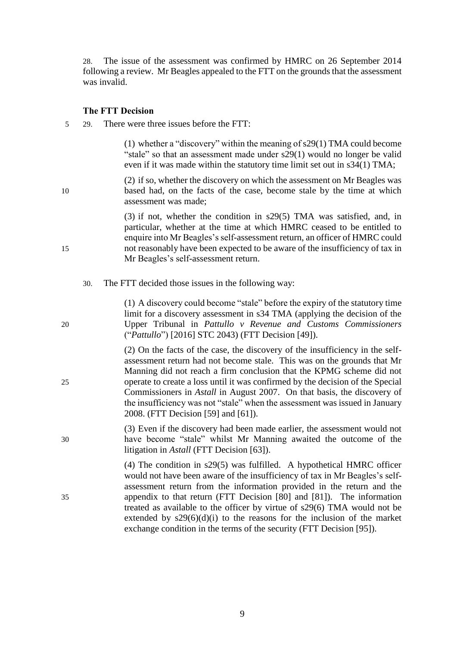28. The issue of the assessment was confirmed by HMRC on 26 September 2014 following a review. Mr Beagles appealed to the FTT on the grounds that the assessment was invalid.

#### **The FTT Decision**

5 29. There were three issues before the FTT:

(1) whether a "discovery" within the meaning of s29(1) TMA could become "stale" so that an assessment made under s29(1) would no longer be valid even if it was made within the statutory time limit set out in s34(1) TMA;

(2) if so, whether the discovery on which the assessment on Mr Beagles was 10 based had, on the facts of the case, become stale by the time at which assessment was made;

(3) if not, whether the condition in s29(5) TMA was satisfied, and, in particular, whether at the time at which HMRC ceased to be entitled to enquire into Mr Beagles's self-assessment return, an officer of HMRC could 15 not reasonably have been expected to be aware of the insufficiency of tax in Mr Beagles's self-assessment return.

30. The FTT decided those issues in the following way:

(1) A discovery could become "stale" before the expiry of the statutory time limit for a discovery assessment in s34 TMA (applying the decision of the 20 Upper Tribunal in *Pattullo v Revenue and Customs Commissioners* ("*Pattullo*") [2016] STC 2043) (FTT Decision [49]).

(2) On the facts of the case, the discovery of the insufficiency in the selfassessment return had not become stale. This was on the grounds that Mr Manning did not reach a firm conclusion that the KPMG scheme did not 25 operate to create a loss until it was confirmed by the decision of the Special Commissioners in *Astall* in August 2007. On that basis, the discovery of the insufficiency was not "stale" when the assessment was issued in January 2008. (FTT Decision [59] and [61]).

(3) Even if the discovery had been made earlier, the assessment would not 30 have become "stale" whilst Mr Manning awaited the outcome of the litigation in *Astall* (FTT Decision [63]).

(4) The condition in s29(5) was fulfilled. A hypothetical HMRC officer would not have been aware of the insufficiency of tax in Mr Beagles's selfassessment return from the information provided in the return and the 35 appendix to that return (FTT Decision [80] and [81]). The information treated as available to the officer by virtue of s29(6) TMA would not be extended by  $s29(6)(d)(i)$  to the reasons for the inclusion of the market exchange condition in the terms of the security (FTT Decision [95]).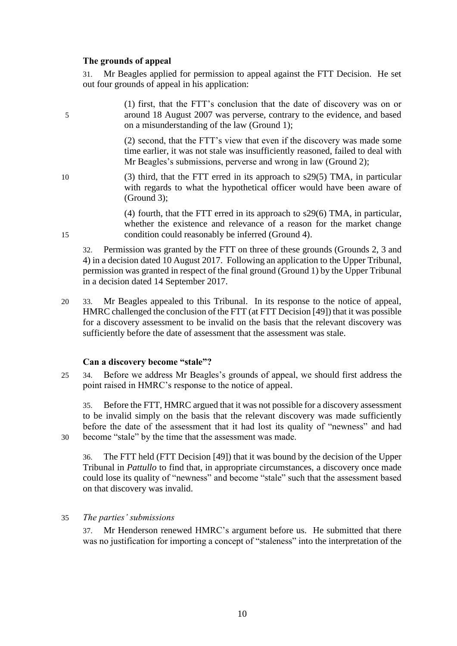### **The grounds of appeal**

31. Mr Beagles applied for permission to appeal against the FTT Decision. He set out four grounds of appeal in his application:

(1) first, that the FTT's conclusion that the date of discovery was on or 5 around 18 August 2007 was perverse, contrary to the evidence, and based on a misunderstanding of the law (Ground 1);

> (2) second, that the FTT's view that even if the discovery was made some time earlier, it was not stale was insufficiently reasoned, failed to deal with Mr Beagles's submissions, perverse and wrong in law (Ground 2);

10 (3) third, that the FTT erred in its approach to s29(5) TMA, in particular with regards to what the hypothetical officer would have been aware of (Ground 3);

(4) fourth, that the FTT erred in its approach to s29(6) TMA, in particular, whether the existence and relevance of a reason for the market change 15 condition could reasonably be inferred (Ground 4).

32. Permission was granted by the FTT on three of these grounds (Grounds 2, 3 and 4) in a decision dated 10 August 2017. Following an application to the Upper Tribunal, permission was granted in respect of the final ground (Ground 1) by the Upper Tribunal in a decision dated 14 September 2017.

20 33. Mr Beagles appealed to this Tribunal. In its response to the notice of appeal, HMRC challenged the conclusion of the FTT (at FTT Decision [49]) that it was possible for a discovery assessment to be invalid on the basis that the relevant discovery was sufficiently before the date of assessment that the assessment was stale.

### **Can a discovery become "stale"?**

25 34. Before we address Mr Beagles's grounds of appeal, we should first address the point raised in HMRC's response to the notice of appeal.

35. Before the FTT, HMRC argued that it was not possible for a discovery assessment to be invalid simply on the basis that the relevant discovery was made sufficiently before the date of the assessment that it had lost its quality of "newness" and had 30 become "stale" by the time that the assessment was made.

36. The FTT held (FTT Decision [49]) that it was bound by the decision of the Upper Tribunal in *Pattullo* to find that, in appropriate circumstances, a discovery once made could lose its quality of "newness" and become "stale" such that the assessment based on that discovery was invalid.

### 35 *The parties' submissions*

37. Mr Henderson renewed HMRC's argument before us. He submitted that there was no justification for importing a concept of "staleness" into the interpretation of the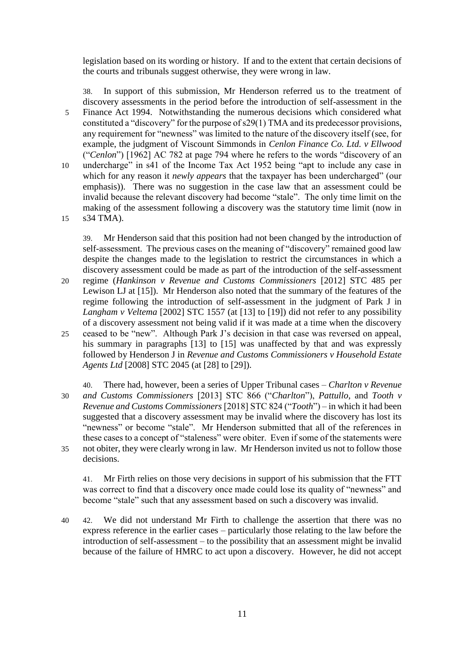legislation based on its wording or history. If and to the extent that certain decisions of the courts and tribunals suggest otherwise, they were wrong in law.

38. In support of this submission, Mr Henderson referred us to the treatment of discovery assessments in the period before the introduction of self-assessment in the 5 Finance Act 1994. Notwithstanding the numerous decisions which considered what constituted a "discovery" for the purpose of s29(1) TMA and its predecessor provisions, any requirement for "newness" was limited to the nature of the discovery itself (see, for example, the judgment of Viscount Simmonds in *Cenlon Finance Co. Ltd. v Ellwood* ("*Cenlon*") [1962] AC 782 at page 794 where he refers to the words "discovery of an 10 undercharge" in s41 of the Income Tax Act 1952 being "apt to include any case in which for any reason it *newly appears* that the taxpayer has been undercharged" (our emphasis)). There was no suggestion in the case law that an assessment could be invalid because the relevant discovery had become "stale". The only time limit on the making of the assessment following a discovery was the statutory time limit (now in 15 s34 TMA).

39. Mr Henderson said that this position had not been changed by the introduction of self-assessment. The previous cases on the meaning of "discovery" remained good law despite the changes made to the legislation to restrict the circumstances in which a discovery assessment could be made as part of the introduction of the self-assessment

20 regime (*Hankinson v Revenue and Customs Commissioners* [2012] STC 485 per Lewison LJ at [15]). Mr Henderson also noted that the summary of the features of the regime following the introduction of self-assessment in the judgment of Park J in *Langham v Veltema* [2002] STC 1557 (at [13] to [19]) did not refer to any possibility of a discovery assessment not being valid if it was made at a time when the discovery 25 ceased to be "new". Although Park J's decision in that case was reversed on appeal, his summary in paragraphs [13] to [15] was unaffected by that and was expressly followed by Henderson J in *Revenue and Customs Commissioners v Household Estate Agents Ltd* [2008] STC 2045 (at [28] to [29]).

40. There had, however, been a series of Upper Tribunal cases – *Charlton v Revenue*  30 *and Customs Commissioners* [2013] STC 866 ("*Charlton*"), *Pattullo*, and *Tooth v Revenue and Customs Commissioners* [2018] STC 824 ("*Tooth*") – in which it had been suggested that a discovery assessment may be invalid where the discovery has lost its "newness" or become "stale". Mr Henderson submitted that all of the references in these cases to a concept of "staleness" were obiter. Even if some of the statements were 35 not obiter, they were clearly wrong in law. Mr Henderson invited us not to follow those decisions.

41. Mr Firth relies on those very decisions in support of his submission that the FTT was correct to find that a discovery once made could lose its quality of "newness" and become "stale" such that any assessment based on such a discovery was invalid.

40 42. We did not understand Mr Firth to challenge the assertion that there was no express reference in the earlier cases – particularly those relating to the law before the introduction of self-assessment – to the possibility that an assessment might be invalid because of the failure of HMRC to act upon a discovery. However, he did not accept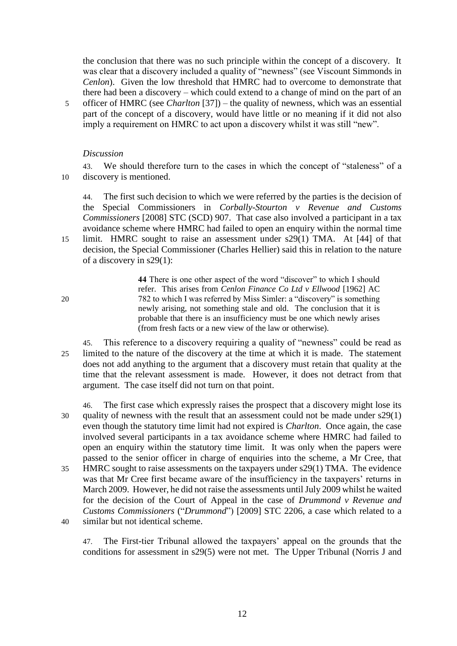the conclusion that there was no such principle within the concept of a discovery. It was clear that a discovery included a quality of "newness" (see Viscount Simmonds in *Cenlon*). Given the low threshold that HMRC had to overcome to demonstrate that there had been a discovery – which could extend to a change of mind on the part of an

5 officer of HMRC (see *Charlton* [37]) – the quality of newness, which was an essential part of the concept of a discovery, would have little or no meaning if it did not also imply a requirement on HMRC to act upon a discovery whilst it was still "new".

### *Discussion*

43. We should therefore turn to the cases in which the concept of "staleness" of a 10 discovery is mentioned.

44. The first such decision to which we were referred by the parties is the decision of the Special Commissioners in *Corbally-Stourton v Revenue and Customs Commissioners* [2008] STC (SCD) 907. That case also involved a participant in a tax avoidance scheme where HMRC had failed to open an enquiry within the normal time

15 limit. HMRC sought to raise an assessment under s29(1) TMA. At [44] of that decision, the Special Commissioner (Charles Hellier) said this in relation to the nature of a discovery in s29(1):

**44** There is one other aspect of the word "discover" to which I should refer. This arises from *Cenlon Finance Co Ltd v Ellwood* [1962] AC 20 782 to which I was referred by Miss Simler: a "discovery" is something newly arising, not something stale and old. The conclusion that it is probable that there is an insufficiency must be one which newly arises (from fresh facts or a new view of the law or otherwise).

- 45. This reference to a discovery requiring a quality of "newness" could be read as 25 limited to the nature of the discovery at the time at which it is made. The statement does not add anything to the argument that a discovery must retain that quality at the time that the relevant assessment is made. However, it does not detract from that argument. The case itself did not turn on that point.
- 46. The first case which expressly raises the prospect that a discovery might lose its 30 quality of newness with the result that an assessment could not be made under s29(1) even though the statutory time limit had not expired is *Charlton*. Once again, the case involved several participants in a tax avoidance scheme where HMRC had failed to open an enquiry within the statutory time limit. It was only when the papers were passed to the senior officer in charge of enquiries into the scheme, a Mr Cree, that 35 HMRC sought to raise assessments on the taxpayers under s29(1) TMA. The evidence was that Mr Cree first became aware of the insufficiency in the taxpayers' returns in March 2009. However, he did not raise the assessments until July 2009 whilst he waited for the decision of the Court of Appeal in the case of *Drummond v Revenue and Customs Commissioners* ("*Drummond*") [2009] STC 2206, a case which related to a
- 40 similar but not identical scheme.

47. The First-tier Tribunal allowed the taxpayers' appeal on the grounds that the conditions for assessment in s29(5) were not met. The Upper Tribunal (Norris J and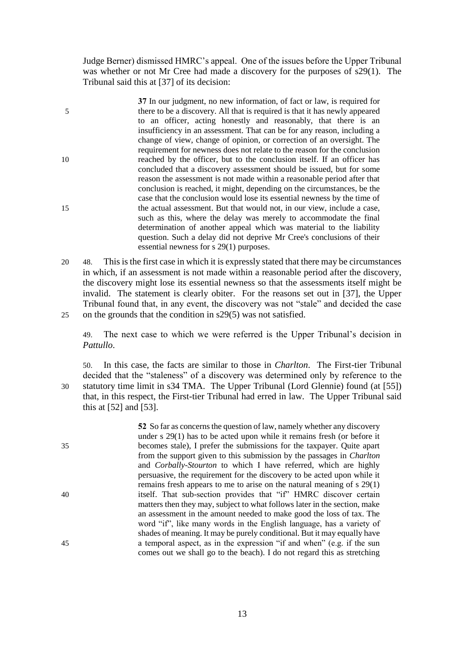Judge Berner) dismissed HMRC's appeal. One of the issues before the Upper Tribunal was whether or not Mr Cree had made a discovery for the purposes of s29(1). The Tribunal said this at [37] of its decision:

**37** In our judgment, no new information, of fact or law, is required for 5 there to be a discovery. All that is required is that it has newly appeared to an officer, acting honestly and reasonably, that there is an insufficiency in an assessment. That can be for any reason, including a change of view, change of opinion, or correction of an oversight. The requirement for newness does not relate to the reason for the conclusion 10 reached by the officer, but to the conclusion itself. If an officer has concluded that a discovery assessment should be issued, but for some reason the assessment is not made within a reasonable period after that conclusion is reached, it might, depending on the circumstances, be the case that the conclusion would lose its essential newness by the time of 15 the actual assessment. But that would not, in our view, include a case, such as this, where the delay was merely to accommodate the final determination of another appeal which was material to the liability question. Such a delay did not deprive Mr Cree's conclusions of their essential newness for s 29(1) purposes.

20 48. This is the first case in which it is expressly stated that there may be circumstances in which, if an assessment is not made within a reasonable period after the discovery, the discovery might lose its essential newness so that the assessments itself might be invalid. The statement is clearly obiter. For the reasons set out in [37], the Upper Tribunal found that, in any event, the discovery was not "stale" and decided the case 25 on the grounds that the condition in s29(5) was not satisfied.

49. The next case to which we were referred is the Upper Tribunal's decision in *Pattullo*.

50. In this case, the facts are similar to those in *Charlton*. The First-tier Tribunal decided that the "staleness" of a discovery was determined only by reference to the 30 statutory time limit in s34 TMA. The Upper Tribunal (Lord Glennie) found (at [55]) that, in this respect, the First-tier Tribunal had erred in law. The Upper Tribunal said this at [52] and [53].

**52** So far as concerns the question of law, namely whether any discovery under s 29(1) has to be acted upon while it remains fresh (or before it 35 becomes stale), I prefer the submissions for the taxpayer. Quite apart from the support given to this submission by the passages in *Charlton* and *Corbally-Stourton* to which I have referred, which are highly persuasive, the requirement for the discovery to be acted upon while it remains fresh appears to me to arise on the natural meaning of s 29(1) 40 itself. That sub-section provides that "if" HMRC discover certain matters then they may, subject to what follows later in the section, make an assessment in the amount needed to make good the loss of tax. The word "if", like many words in the English language, has a variety of shades of meaning. It may be purely conditional. But it may equally have 45 a temporal aspect, as in the expression "if and when" (e.g. if the sun comes out we shall go to the beach). I do not regard this as stretching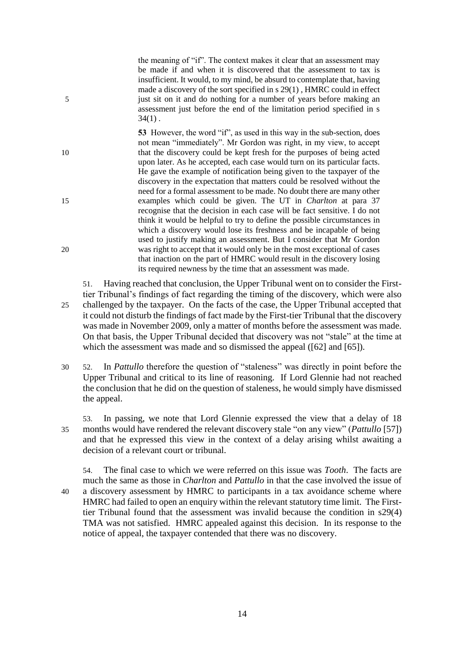the meaning of "if". The context makes it clear that an assessment may be made if and when it is discovered that the assessment to tax is insufficient. It would, to my mind, be absurd to contemplate that, having made a discovery of the sort specified in s 29(1) , HMRC could in effect 5 just sit on it and do nothing for a number of years before making an assessment just before the end of the limitation period specified in s  $34(1)$ .

**53** However, the word "if", as used in this way in the sub-section, does not mean "immediately". Mr Gordon was right, in my view, to accept 10 that the discovery could be kept fresh for the purposes of being acted upon later. As he accepted, each case would turn on its particular facts. He gave the example of notification being given to the taxpayer of the discovery in the expectation that matters could be resolved without the need for a formal assessment to be made. No doubt there are many other 15 examples which could be given. The UT in *Charlton* at para 37 recognise that the decision in each case will be fact sensitive. I do not think it would be helpful to try to define the possible circumstances in which a discovery would lose its freshness and be incapable of being used to justify making an assessment. But I consider that Mr Gordon 20 was right to accept that it would only be in the most exceptional of cases that inaction on the part of HMRC would result in the discovery losing its required newness by the time that an assessment was made.

51. Having reached that conclusion, the Upper Tribunal went on to consider the Firsttier Tribunal's findings of fact regarding the timing of the discovery, which were also 25 challenged by the taxpayer. On the facts of the case, the Upper Tribunal accepted that it could not disturb the findings of fact made by the First-tier Tribunal that the discovery was made in November 2009, only a matter of months before the assessment was made. On that basis, the Upper Tribunal decided that discovery was not "stale" at the time at which the assessment was made and so dismissed the appeal ([62] and [65]).

30 52. In *Pattullo* therefore the question of "staleness" was directly in point before the Upper Tribunal and critical to its line of reasoning. If Lord Glennie had not reached the conclusion that he did on the question of staleness, he would simply have dismissed the appeal.

53. In passing, we note that Lord Glennie expressed the view that a delay of 18 35 months would have rendered the relevant discovery stale "on any view" (*Pattullo* [57]) and that he expressed this view in the context of a delay arising whilst awaiting a decision of a relevant court or tribunal.

54. The final case to which we were referred on this issue was *Tooth*. The facts are much the same as those in *Charlton* and *Pattullo* in that the case involved the issue of 40 a discovery assessment by HMRC to participants in a tax avoidance scheme where HMRC had failed to open an enquiry within the relevant statutory time limit. The Firsttier Tribunal found that the assessment was invalid because the condition in s29(4) TMA was not satisfied. HMRC appealed against this decision. In its response to the notice of appeal, the taxpayer contended that there was no discovery.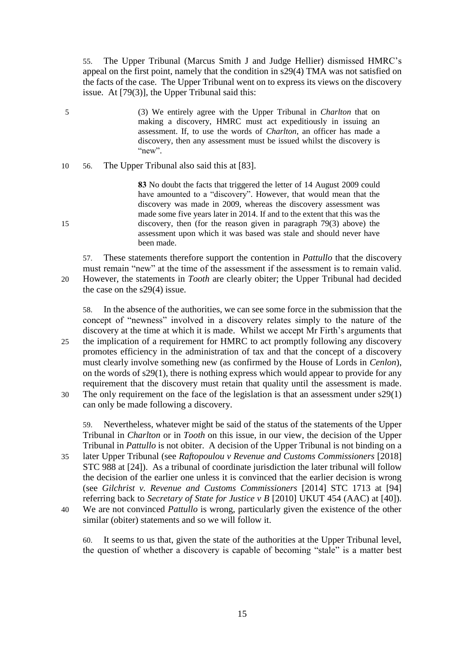55. The Upper Tribunal (Marcus Smith J and Judge Hellier) dismissed HMRC's appeal on the first point, namely that the condition in s29(4) TMA was not satisfied on the facts of the case. The Upper Tribunal went on to express its views on the discovery issue. At [79(3)], the Upper Tribunal said this:

- 5 (3) We entirely agree with the Upper Tribunal in *Charlton* that on making a discovery, HMRC must act expeditiously in issuing an assessment. If, to use the words of *Charlton*, an officer has made a discovery, then any assessment must be issued whilst the discovery is "new".
- 10 56. The Upper Tribunal also said this at [83].

**83** No doubt the facts that triggered the letter of 14 August 2009 could have amounted to a "discovery". However, that would mean that the discovery was made in 2009, whereas the discovery assessment was made some five years later in 2014. If and to the extent that this was the 15 discovery, then (for the reason given in paragraph 79(3) above) the assessment upon which it was based was stale and should never have been made.

57. These statements therefore support the contention in *Pattullo* that the discovery

must remain "new" at the time of the assessment if the assessment is to remain valid. 20 However, the statements in *Tooth* are clearly obiter; the Upper Tribunal had decided the case on the s29(4) issue.

58. In the absence of the authorities, we can see some force in the submission that the concept of "newness" involved in a discovery relates simply to the nature of the discovery at the time at which it is made. Whilst we accept Mr Firth's arguments that 25 the implication of a requirement for HMRC to act promptly following any discovery promotes efficiency in the administration of tax and that the concept of a discovery must clearly involve something new (as confirmed by the House of Lords in *Cenlon*),

- on the words of s29(1), there is nothing express which would appear to provide for any requirement that the discovery must retain that quality until the assessment is made. 30 The only requirement on the face of the legislation is that an assessment under s29(1)
	- can only be made following a discovery.

59. Nevertheless, whatever might be said of the status of the statements of the Upper Tribunal in *Charlton* or in *Tooth* on this issue, in our view, the decision of the Upper Tribunal in *Pattullo* is not obiter. A decision of the Upper Tribunal is not binding on a

- 35 later Upper Tribunal (see *Raftopoulou v Revenue and Customs Commissioners* [2018] STC 988 at [24]). As a tribunal of coordinate jurisdiction the later tribunal will follow the decision of the earlier one unless it is convinced that the earlier decision is wrong (see *Gilchrist v. Revenue and Customs Commissioners* [2014] STC 1713 at [94] referring back to *Secretary of State for Justice v B* [2010] UKUT 454 (AAC) at [40]).
- 40 We are not convinced *Pattullo* is wrong, particularly given the existence of the other similar (obiter) statements and so we will follow it.

60. It seems to us that, given the state of the authorities at the Upper Tribunal level, the question of whether a discovery is capable of becoming "stale" is a matter best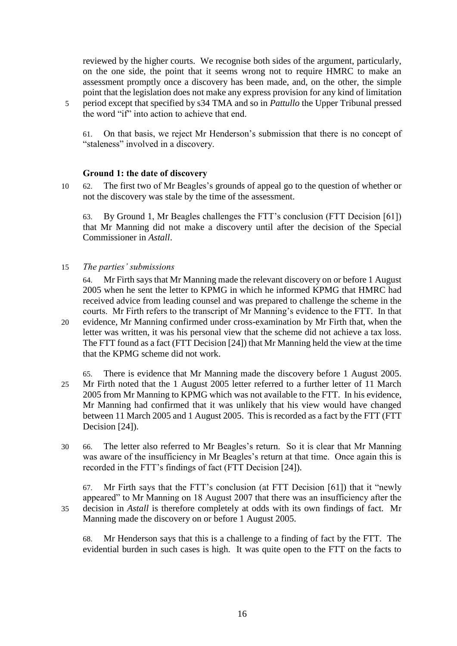reviewed by the higher courts. We recognise both sides of the argument, particularly, on the one side, the point that it seems wrong not to require HMRC to make an assessment promptly once a discovery has been made, and, on the other, the simple point that the legislation does not make any express provision for any kind of limitation 5 period except that specified by s34 TMA and so in *Pattullo* the Upper Tribunal pressed the word "if" into action to achieve that end.

61. On that basis, we reject Mr Henderson's submission that there is no concept of "staleness" involved in a discovery.

### **Ground 1: the date of discovery**

10 62. The first two of Mr Beagles's grounds of appeal go to the question of whether or not the discovery was stale by the time of the assessment.

63. By Ground 1, Mr Beagles challenges the FTT's conclusion (FTT Decision [61]) that Mr Manning did not make a discovery until after the decision of the Special Commissioner in *Astall*.

15 *The parties' submissions*

64. Mr Firth says that Mr Manning made the relevant discovery on or before 1 August 2005 when he sent the letter to KPMG in which he informed KPMG that HMRC had received advice from leading counsel and was prepared to challenge the scheme in the courts. Mr Firth refers to the transcript of Mr Manning's evidence to the FTT. In that 20 evidence, Mr Manning confirmed under cross-examination by Mr Firth that, when the letter was written, it was his personal view that the scheme did not achieve a tax loss. The FTT found as a fact (FTT Decision [24]) that Mr Manning held the view at the time that the KPMG scheme did not work.

65. There is evidence that Mr Manning made the discovery before 1 August 2005. 25 Mr Firth noted that the 1 August 2005 letter referred to a further letter of 11 March 2005 from Mr Manning to KPMG which was not available to the FTT. In his evidence, Mr Manning had confirmed that it was unlikely that his view would have changed between 11 March 2005 and 1 August 2005. This is recorded as a fact by the FTT (FTT Decision [24]).

30 66. The letter also referred to Mr Beagles's return. So it is clear that Mr Manning was aware of the insufficiency in Mr Beagles's return at that time. Once again this is recorded in the FTT's findings of fact (FTT Decision [24]).

67. Mr Firth says that the FTT's conclusion (at FTT Decision [61]) that it "newly appeared" to Mr Manning on 18 August 2007 that there was an insufficiency after the 35 decision in *Astall* is therefore completely at odds with its own findings of fact. Mr Manning made the discovery on or before 1 August 2005.

68. Mr Henderson says that this is a challenge to a finding of fact by the FTT. The evidential burden in such cases is high. It was quite open to the FTT on the facts to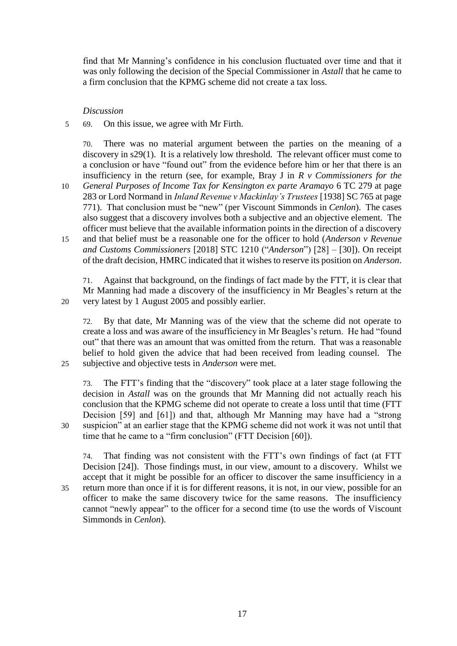find that Mr Manning's confidence in his conclusion fluctuated over time and that it was only following the decision of the Special Commissioner in *Astall* that he came to a firm conclusion that the KPMG scheme did not create a tax loss.

### *Discussion*

5 69. On this issue, we agree with Mr Firth.

70. There was no material argument between the parties on the meaning of a discovery in s29(1). It is a relatively low threshold. The relevant officer must come to a conclusion or have "found out" from the evidence before him or her that there is an insufficiency in the return (see, for example, Bray J in *R v Commissioners for the* 

- 10 *General Purposes of Income Tax for Kensington ex parte Aramayo* 6 TC 279 at page 283 or Lord Normand in *Inland Revenue v Mackinlay's Trustees* [1938] SC 765 at page 771). That conclusion must be "new" (per Viscount Simmonds in *Cenlon*). The cases also suggest that a discovery involves both a subjective and an objective element. The officer must believe that the available information points in the direction of a discovery
- 15 and that belief must be a reasonable one for the officer to hold (*Anderson v Revenue and Customs Commissioners* [2018] STC 1210 ("*Anderson*") [28] – [30]). On receipt of the draft decision, HMRC indicated that it wishes to reserve its position on *Anderson*.

71. Against that background, on the findings of fact made by the FTT, it is clear that Mr Manning had made a discovery of the insufficiency in Mr Beagles's return at the 20 very latest by 1 August 2005 and possibly earlier.

72. By that date, Mr Manning was of the view that the scheme did not operate to create a loss and was aware of the insufficiency in Mr Beagles's return. He had "found out" that there was an amount that was omitted from the return. That was a reasonable belief to hold given the advice that had been received from leading counsel. The 25 subjective and objective tests in *Anderson* were met.

73. The FTT's finding that the "discovery" took place at a later stage following the decision in *Astall* was on the grounds that Mr Manning did not actually reach his conclusion that the KPMG scheme did not operate to create a loss until that time (FTT Decision [59] and [61]) and that, although Mr Manning may have had a "strong 30 suspicion" at an earlier stage that the KPMG scheme did not work it was not until that time that he came to a "firm conclusion" (FTT Decision [60]).

74. That finding was not consistent with the FTT's own findings of fact (at FTT Decision [24]). Those findings must, in our view, amount to a discovery. Whilst we accept that it might be possible for an officer to discover the same insufficiency in a 35 return more than once if it is for different reasons, it is not, in our view, possible for an officer to make the same discovery twice for the same reasons. The insufficiency cannot "newly appear" to the officer for a second time (to use the words of Viscount Simmonds in *Cenlon*).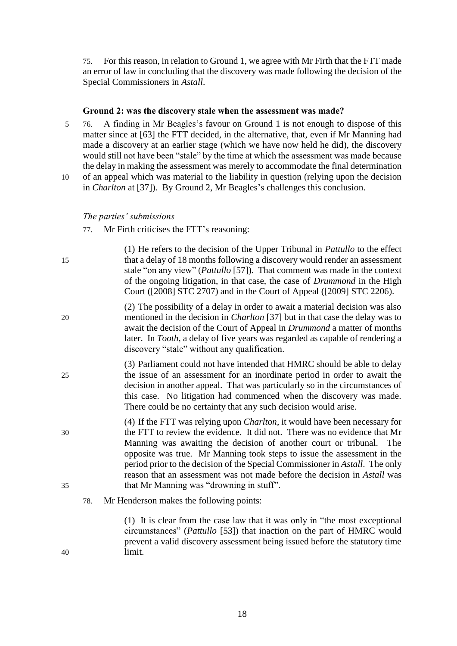75. For this reason, in relation to Ground 1, we agree with Mr Firth that the FTT made an error of law in concluding that the discovery was made following the decision of the Special Commissioners in *Astall*.

#### **Ground 2: was the discovery stale when the assessment was made?**

- 5 76. A finding in Mr Beagles's favour on Ground 1 is not enough to dispose of this matter since at [63] the FTT decided, in the alternative, that, even if Mr Manning had made a discovery at an earlier stage (which we have now held he did), the discovery would still not have been "stale" by the time at which the assessment was made because the delay in making the assessment was merely to accommodate the final determination
- 10 of an appeal which was material to the liability in question (relying upon the decision in *Charlton* at [37]). By Ground 2, Mr Beagles's challenges this conclusion.

#### *The parties' submissions*

- 77. Mr Firth criticises the FTT's reasoning:
- (1) He refers to the decision of the Upper Tribunal in *Pattullo* to the effect 15 that a delay of 18 months following a discovery would render an assessment stale "on any view" (*Pattullo* [57]). That comment was made in the context of the ongoing litigation, in that case, the case of *Drummond* in the High Court ([2008] STC 2707) and in the Court of Appeal ([2009] STC 2206).
- (2) The possibility of a delay in order to await a material decision was also 20 mentioned in the decision in *Charlton* [37] but in that case the delay was to await the decision of the Court of Appeal in *Drummond* a matter of months later. In *Tooth*, a delay of five years was regarded as capable of rendering a discovery "stale" without any qualification.
- (3) Parliament could not have intended that HMRC should be able to delay 25 the issue of an assessment for an inordinate period in order to await the decision in another appeal. That was particularly so in the circumstances of this case. No litigation had commenced when the discovery was made. There could be no certainty that any such decision would arise.
- (4) If the FTT was relying upon *Charlton*, it would have been necessary for 30 the FTT to review the evidence. It did not. There was no evidence that Mr Manning was awaiting the decision of another court or tribunal. The opposite was true. Mr Manning took steps to issue the assessment in the period prior to the decision of the Special Commissioner in *Astall*. The only reason that an assessment was not made before the decision in *Astall* was 35 that Mr Manning was "drowning in stuff".
	- 78. Mr Henderson makes the following points:

(1) It is clear from the case law that it was only in "the most exceptional circumstances" (*Pattullo* [53]) that inaction on the part of HMRC would prevent a valid discovery assessment being issued before the statutory time 40 limit.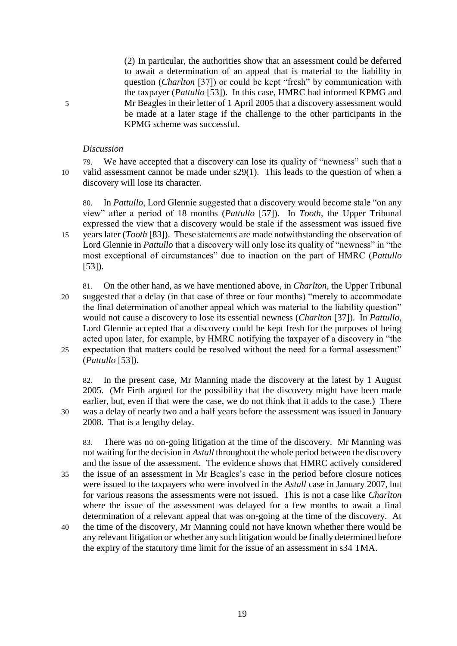(2) In particular, the authorities show that an assessment could be deferred to await a determination of an appeal that is material to the liability in question (*Charlton* [37]) or could be kept "fresh" by communication with the taxpayer (*Pattullo* [53]). In this case, HMRC had informed KPMG and 5 Mr Beagles in their letter of 1 April 2005 that a discovery assessment would be made at a later stage if the challenge to the other participants in the KPMG scheme was successful.

### *Discussion*

79. We have accepted that a discovery can lose its quality of "newness" such that a 10 valid assessment cannot be made under s29(1). This leads to the question of when a discovery will lose its character.

80. In *Pattullo*, Lord Glennie suggested that a discovery would become stale "on any view" after a period of 18 months (*Pattullo* [57]). In *Tooth*, the Upper Tribunal expressed the view that a discovery would be stale if the assessment was issued five 15 years later (*Tooth* [83]). These statements are made notwithstanding the observation of Lord Glennie in *Pattullo* that a discovery will only lose its quality of "newness" in "the most exceptional of circumstances" due to inaction on the part of HMRC (*Pattullo* [53]).

81. On the other hand, as we have mentioned above, in *Charlton*, the Upper Tribunal 20 suggested that a delay (in that case of three or four months) "merely to accommodate the final determination of another appeal which was material to the liability question" would not cause a discovery to lose its essential newness (*Charlton* [37]). In *Pattullo*, Lord Glennie accepted that a discovery could be kept fresh for the purposes of being acted upon later, for example, by HMRC notifying the taxpayer of a discovery in "the 25 expectation that matters could be resolved without the need for a formal assessment" (*Pattullo* [53]).

82. In the present case, Mr Manning made the discovery at the latest by 1 August 2005. (Mr Firth argued for the possibility that the discovery might have been made earlier, but, even if that were the case, we do not think that it adds to the case.) There 30 was a delay of nearly two and a half years before the assessment was issued in January 2008. That is a lengthy delay.

83. There was no on-going litigation at the time of the discovery. Mr Manning was not waiting for the decision in *Astall* throughout the whole period between the discovery and the issue of the assessment. The evidence shows that HMRC actively considered 35 the issue of an assessment in Mr Beagles's case in the period before closure notices were issued to the taxpayers who were involved in the *Astall* case in January 2007, but for various reasons the assessments were not issued. This is not a case like *Charlton* where the issue of the assessment was delayed for a few months to await a final determination of a relevant appeal that was on-going at the time of the discovery. At

40 the time of the discovery, Mr Manning could not have known whether there would be any relevant litigation or whether any such litigation would be finally determined before the expiry of the statutory time limit for the issue of an assessment in s34 TMA.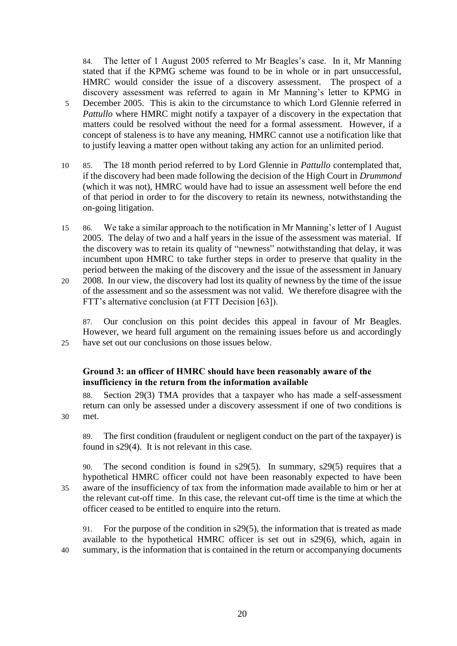84. The letter of 1 August 2005 referred to Mr Beagles's case. In it, Mr Manning stated that if the KPMG scheme was found to be in whole or in part unsuccessful, HMRC would consider the issue of a discovery assessment. The prospect of a discovery assessment was referred to again in Mr Manning's letter to KPMG in 5 December 2005. This is akin to the circumstance to which Lord Glennie referred in *Pattullo* where HMRC might notify a taxpayer of a discovery in the expectation that matters could be resolved without the need for a formal assessment. However, if a concept of staleness is to have any meaning, HMRC cannot use a notification like that to justify leaving a matter open without taking any action for an unlimited period.

- 10 85. The 18 month period referred to by Lord Glennie in *Pattullo* contemplated that, if the discovery had been made following the decision of the High Court in *Drummond* (which it was not), HMRC would have had to issue an assessment well before the end of that period in order to for the discovery to retain its newness, notwithstanding the on-going litigation.
- 15 86. We take a similar approach to the notification in Mr Manning's letter of 1 August 2005. The delay of two and a half years in the issue of the assessment was material. If the discovery was to retain its quality of "newness" notwithstanding that delay, it was incumbent upon HMRC to take further steps in order to preserve that quality in the period between the making of the discovery and the issue of the assessment in January
- 20 2008. In our view, the discovery had lost its quality of newness by the time of the issue of the assessment and so the assessment was not valid. We therefore disagree with the FTT's alternative conclusion (at FTT Decision [63]).

87. Our conclusion on this point decides this appeal in favour of Mr Beagles. However, we heard full argument on the remaining issues before us and accordingly 25 have set out our conclusions on those issues below.

## **Ground 3: an officer of HMRC should have been reasonably aware of the insufficiency in the return from the information available**

88. Section 29(3) TMA provides that a taxpayer who has made a self-assessment return can only be assessed under a discovery assessment if one of two conditions is 30 met.

89. The first condition (fraudulent or negligent conduct on the part of the taxpayer) is found in s29(4). It is not relevant in this case.

90. The second condition is found in s29(5). In summary, s29(5) requires that a hypothetical HMRC officer could not have been reasonably expected to have been 35 aware of the insufficiency of tax from the information made available to him or her at the relevant cut-off time. In this case, the relevant cut-off time is the time at which the officer ceased to be entitled to enquire into the return.

91. For the purpose of the condition in s29(5), the information that is treated as made available to the hypothetical HMRC officer is set out in s29(6), which, again in 40 summary, is the information that is contained in the return or accompanying documents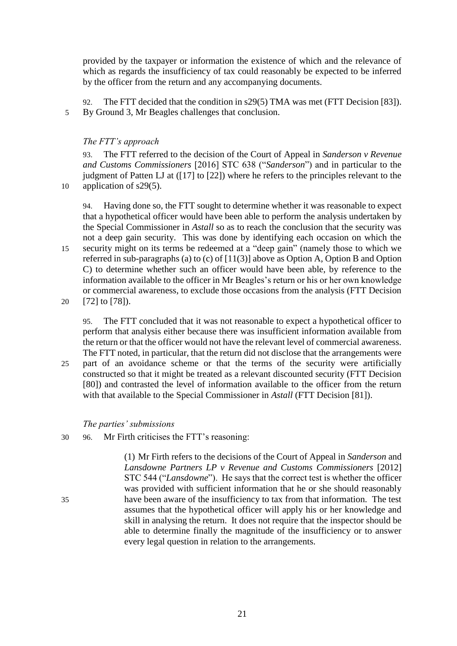provided by the taxpayer or information the existence of which and the relevance of which as regards the insufficiency of tax could reasonably be expected to be inferred by the officer from the return and any accompanying documents.

92. The FTT decided that the condition in s29(5) TMA was met (FTT Decision [83]). 5 By Ground 3, Mr Beagles challenges that conclusion.

## *The FTT's approach*

93. The FTT referred to the decision of the Court of Appeal in *Sanderson v Revenue and Customs Commissioners* [2016] STC 638 ("*Sanderson*") and in particular to the judgment of Patten LJ at ([17] to [22]) where he refers to the principles relevant to the 10 application of s29(5).

94. Having done so, the FTT sought to determine whether it was reasonable to expect that a hypothetical officer would have been able to perform the analysis undertaken by the Special Commissioner in *Astall* so as to reach the conclusion that the security was not a deep gain security. This was done by identifying each occasion on which the 15 security might on its terms be redeemed at a "deep gain" (namely those to which we referred in sub-paragraphs (a) to (c) of [11(3)] above as Option A, Option B and Option C) to determine whether such an officer would have been able, by reference to the information available to the officer in Mr Beagles's return or his or her own knowledge or commercial awareness, to exclude those occasions from the analysis (FTT Decision 20 [72] to [78]).

95. The FTT concluded that it was not reasonable to expect a hypothetical officer to perform that analysis either because there was insufficient information available from the return or that the officer would not have the relevant level of commercial awareness. The FTT noted, in particular, that the return did not disclose that the arrangements were

25 part of an avoidance scheme or that the terms of the security were artificially constructed so that it might be treated as a relevant discounted security (FTT Decision [80]) and contrasted the level of information available to the officer from the return with that available to the Special Commissioner in *Astall* (FTT Decision [81]).

### *The parties' submissions*

30 96. Mr Firth criticises the FTT's reasoning:

(1) Mr Firth refers to the decisions of the Court of Appeal in *Sanderson* and *Lansdowne Partners LP v Revenue and Customs Commissioners* [2012] STC 544 ("*Lansdowne*"). He says that the correct test is whether the officer was provided with sufficient information that he or she should reasonably 35 have been aware of the insufficiency to tax from that information. The test assumes that the hypothetical officer will apply his or her knowledge and skill in analysing the return. It does not require that the inspector should be able to determine finally the magnitude of the insufficiency or to answer every legal question in relation to the arrangements.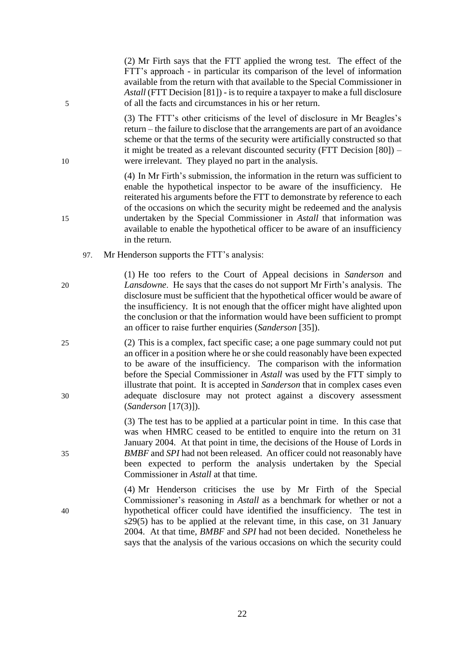| 5        |     | available from the return with that available to the Special Commissioner in<br>Astall (FTT Decision [81]) - is to require a taxpayer to make a full disclosure<br>of all the facts and circumstances in his or her return.                                                                                                                                                                                                                                                                            |
|----------|-----|--------------------------------------------------------------------------------------------------------------------------------------------------------------------------------------------------------------------------------------------------------------------------------------------------------------------------------------------------------------------------------------------------------------------------------------------------------------------------------------------------------|
| 10       |     | (3) The FTT's other criticisms of the level of disclosure in Mr Beagles's<br>return – the failure to disclose that the arrangements are part of an avoidance<br>scheme or that the terms of the security were artificially constructed so that<br>it might be treated as a relevant discounted security (FTT Decision $[80]$ ) –<br>were irrelevant. They played no part in the analysis.                                                                                                              |
| 15       |     | (4) In Mr Firth's submission, the information in the return was sufficient to<br>enable the hypothetical inspector to be aware of the insufficiency. He<br>reiterated his arguments before the FTT to demonstrate by reference to each<br>of the occasions on which the security might be redeemed and the analysis<br>undertaken by the Special Commissioner in Astall that information was<br>available to enable the hypothetical officer to be aware of an insufficiency<br>in the return.         |
|          | 97. | Mr Henderson supports the FTT's analysis:                                                                                                                                                                                                                                                                                                                                                                                                                                                              |
| 20       |     | (1) He too refers to the Court of Appeal decisions in Sanderson and<br>Lansdowne. He says that the cases do not support Mr Firth's analysis. The<br>disclosure must be sufficient that the hypothetical officer would be aware of<br>the insufficiency. It is not enough that the officer might have alighted upon<br>the conclusion or that the information would have been sufficient to prompt<br>an officer to raise further enquiries (Sanderson [35]).                                           |
| 25<br>30 |     | (2) This is a complex, fact specific case; a one page summary could not put<br>an officer in a position where he or she could reasonably have been expected<br>to be aware of the insufficiency. The comparison with the information<br>before the Special Commissioner in Astall was used by the FTT simply to<br>illustrate that point. It is accepted in <i>Sanderson</i> that in complex cases even<br>adequate disclosure may not protect against a discovery assessment<br>(Sanders on [17(3)]). |
| 35       |     | (3) The test has to be applied at a particular point in time. In this case that<br>was when HMRC ceased to be entitled to enquire into the return on 31<br>January 2004. At that point in time, the decisions of the House of Lords in<br>BMBF and SPI had not been released. An officer could not reasonably have<br>been expected to perform the analysis undertaken by the Special<br>Commissioner in <i>Astall</i> at that time.                                                                   |
| 40       |     | (4) Mr Henderson criticises the use by Mr Firth of the Special<br>Commissioner's reasoning in Astall as a benchmark for whether or not a<br>hypothetical officer could have identified the insufficiency. The test in<br>s29(5) has to be applied at the relevant time, in this case, on 31 January<br>2004. At that time, <i>BMBF</i> and <i>SPI</i> had not been decided. Nonetheless he<br>says that the analysis of the various occasions on which the security could                              |
|          |     |                                                                                                                                                                                                                                                                                                                                                                                                                                                                                                        |

(2) Mr Firth says that the FTT applied the wrong test. The effect of the FTT's approach - in particular its comparison of the level of information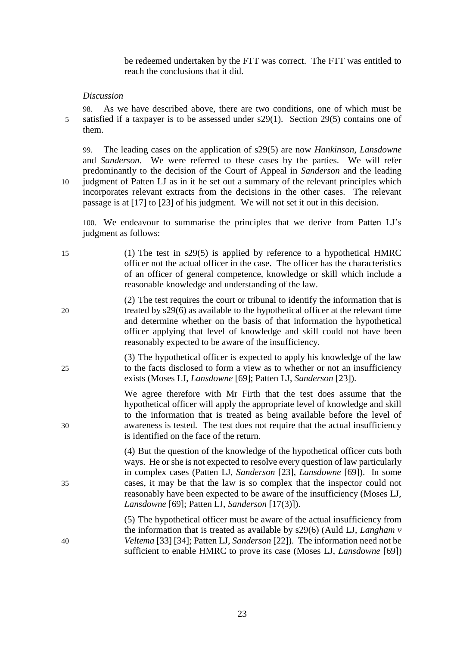be redeemed undertaken by the FTT was correct. The FTT was entitled to reach the conclusions that it did.

### *Discussion*

98. As we have described above, there are two conditions, one of which must be 5 satisfied if a taxpayer is to be assessed under s29(1). Section 29(5) contains one of them.

99. The leading cases on the application of s29(5) are now *Hankinson*, *Lansdowne* and *Sanderson*. We were referred to these cases by the parties. We will refer predominantly to the decision of the Court of Appeal in *Sanderson* and the leading 10 judgment of Patten LJ as in it he set out a summary of the relevant principles which incorporates relevant extracts from the decisions in the other cases. The relevant passage is at [17] to [23] of his judgment. We will not set it out in this decision.

100. We endeavour to summarise the principles that we derive from Patten LJ's judgment as follows:

| 15 | (1) The test in $s29(5)$ is applied by reference to a hypothetical HMRC         |
|----|---------------------------------------------------------------------------------|
|    | officer not the actual officer in the case. The officer has the characteristics |
|    | of an officer of general competence, knowledge or skill which include a         |
|    | reasonable knowledge and understanding of the law.                              |

(2) The test requires the court or tribunal to identify the information that is 20 treated by s29(6) as available to the hypothetical officer at the relevant time and determine whether on the basis of that information the hypothetical officer applying that level of knowledge and skill could not have been reasonably expected to be aware of the insufficiency.

(3) The hypothetical officer is expected to apply his knowledge of the law 25 to the facts disclosed to form a view as to whether or not an insufficiency exists (Moses LJ, *Lansdowne* [69]; Patten LJ, *Sanderson* [23]).

We agree therefore with Mr Firth that the test does assume that the hypothetical officer will apply the appropriate level of knowledge and skill to the information that is treated as being available before the level of 30 awareness is tested. The test does not require that the actual insufficiency is identified on the face of the return.

(4) But the question of the knowledge of the hypothetical officer cuts both ways. He or she is not expected to resolve every question of law particularly in complex cases (Patten LJ, *Sanderson* [23], *Lansdowne* [69]). In some 35 cases, it may be that the law is so complex that the inspector could not reasonably have been expected to be aware of the insufficiency (Moses LJ, *Lansdowne* [69]; Patten LJ, *Sanderson* [17(3)]).

(5) The hypothetical officer must be aware of the actual insufficiency from the information that is treated as available by s29(6) (Auld LJ, *Langham v*  40 *Veltema* [33] [34]; Patten LJ, *Sanderson* [22]). The information need not be sufficient to enable HMRC to prove its case (Moses LJ, *Lansdowne* [69])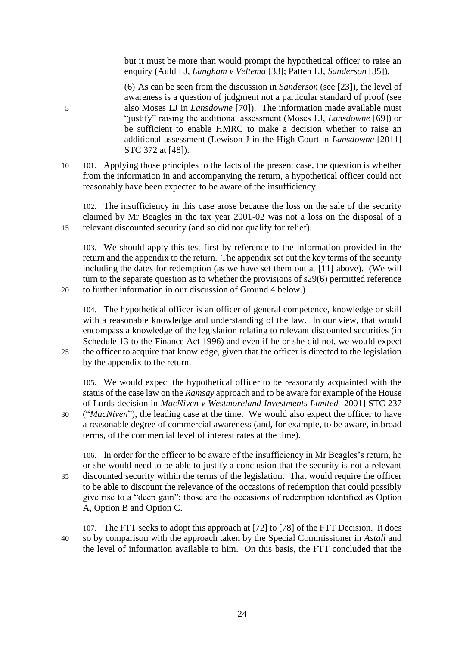but it must be more than would prompt the hypothetical officer to raise an enquiry (Auld LJ, *Langham v Veltema* [33]; Patten LJ, *Sanderson* [35]).

(6) As can be seen from the discussion in *Sanderson* (see [23]), the level of awareness is a question of judgment not a particular standard of proof (see 5 also Moses LJ in *Lansdowne* [70]). The information made available must "justify" raising the additional assessment (Moses LJ, *Lansdowne* [69]) or be sufficient to enable HMRC to make a decision whether to raise an additional assessment (Lewison J in the High Court in *Lansdowne* [2011] STC 372 at [48]).

10 101. Applying those principles to the facts of the present case, the question is whether from the information in and accompanying the return, a hypothetical officer could not reasonably have been expected to be aware of the insufficiency.

102. The insufficiency in this case arose because the loss on the sale of the security claimed by Mr Beagles in the tax year 2001-02 was not a loss on the disposal of a 15 relevant discounted security (and so did not qualify for relief).

103. We should apply this test first by reference to the information provided in the return and the appendix to the return. The appendix set out the key terms of the security including the dates for redemption (as we have set them out at [11] above). (We will turn to the separate question as to whether the provisions of s29(6) permitted reference 20 to further information in our discussion of Ground 4 below.)

104. The hypothetical officer is an officer of general competence, knowledge or skill with a reasonable knowledge and understanding of the law. In our view, that would encompass a knowledge of the legislation relating to relevant discounted securities (in Schedule 13 to the Finance Act 1996) and even if he or she did not, we would expect 25 the officer to acquire that knowledge, given that the officer is directed to the legislation

by the appendix to the return.

105. We would expect the hypothetical officer to be reasonably acquainted with the status of the case law on the *Ramsay* approach and to be aware for example of the House of Lords decision in *MacNiven v Westmoreland Investments Limited* [2001] STC 237

30 ("*MacNiven*"), the leading case at the time. We would also expect the officer to have a reasonable degree of commercial awareness (and, for example, to be aware, in broad terms, of the commercial level of interest rates at the time).

106. In order for the officer to be aware of the insufficiency in Mr Beagles's return, he or she would need to be able to justify a conclusion that the security is not a relevant 35 discounted security within the terms of the legislation. That would require the officer to be able to discount the relevance of the occasions of redemption that could possibly give rise to a "deep gain"; those are the occasions of redemption identified as Option A, Option B and Option C.

107. The FTT seeks to adopt this approach at [72] to [78] of the FTT Decision. It does 40 so by comparison with the approach taken by the Special Commissioner in *Astall* and the level of information available to him. On this basis, the FTT concluded that the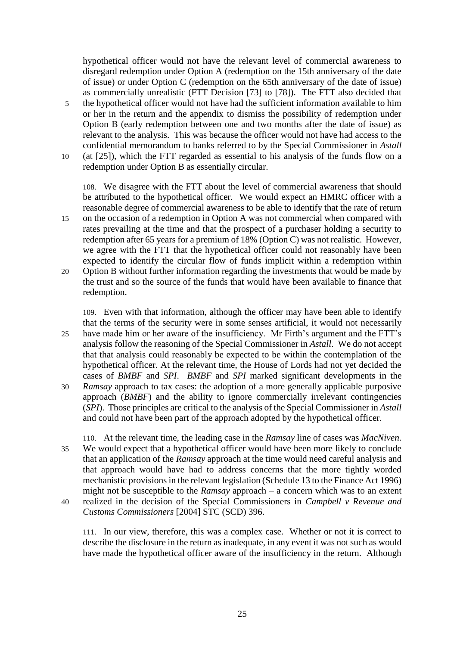hypothetical officer would not have the relevant level of commercial awareness to disregard redemption under Option A (redemption on the 15th anniversary of the date of issue) or under Option C (redemption on the 65th anniversary of the date of issue) as commercially unrealistic (FTT Decision [73] to [78]). The FTT also decided that

- 5 the hypothetical officer would not have had the sufficient information available to him or her in the return and the appendix to dismiss the possibility of redemption under Option B (early redemption between one and two months after the date of issue) as relevant to the analysis. This was because the officer would not have had access to the confidential memorandum to banks referred to by the Special Commissioner in *Astall*
- 10 (at [25]), which the FTT regarded as essential to his analysis of the funds flow on a redemption under Option B as essentially circular.

108. We disagree with the FTT about the level of commercial awareness that should be attributed to the hypothetical officer. We would expect an HMRC officer with a reasonable degree of commercial awareness to be able to identify that the rate of return 15 on the occasion of a redemption in Option A was not commercial when compared with rates prevailing at the time and that the prospect of a purchaser holding a security to redemption after 65 years for a premium of 18% (Option C) was not realistic. However, we agree with the FTT that the hypothetical officer could not reasonably have been expected to identify the circular flow of funds implicit within a redemption within 20 Option B without further information regarding the investments that would be made by the trust and so the source of the funds that would have been available to finance that

redemption.

109. Even with that information, although the officer may have been able to identify that the terms of the security were in some senses artificial, it would not necessarily 25 have made him or her aware of the insufficiency. Mr Firth's argument and the FTT's analysis follow the reasoning of the Special Commissioner in *Astall*. We do not accept that that analysis could reasonably be expected to be within the contemplation of the hypothetical officer. At the relevant time, the House of Lords had not yet decided the cases of *BMBF* and *SPI*. *BMBF* and *SPI* marked significant developments in the 30 *Ramsay* approach to tax cases: the adoption of a more generally applicable purposive approach (*BMBF*) and the ability to ignore commercially irrelevant contingencies (*SPI*). Those principles are critical to the analysis of the Special Commissioner in *Astall* and could not have been part of the approach adopted by the hypothetical officer.

- 110. At the relevant time, the leading case in the *Ramsay* line of cases was *MacNiven*. 35 We would expect that a hypothetical officer would have been more likely to conclude that an application of the *Ramsay* approach at the time would need careful analysis and that approach would have had to address concerns that the more tightly worded mechanistic provisions in the relevant legislation (Schedule 13 to the Finance Act 1996) might not be susceptible to the *Ramsay* approach – a concern which was to an extent 40 realized in the decision of the Special Commissioners in *Campbell v Revenue and*
- *Customs Commissioners* [2004] STC (SCD) 396. 111. In our view, therefore, this was a complex case. Whether or not it is correct to

describe the disclosure in the return as inadequate, in any event it was not such as would have made the hypothetical officer aware of the insufficiency in the return. Although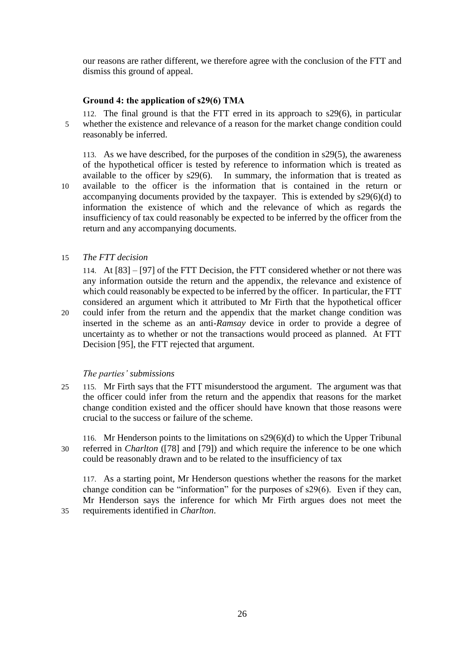our reasons are rather different, we therefore agree with the conclusion of the FTT and dismiss this ground of appeal.

## **Ground 4: the application of s29(6) TMA**

112. The final ground is that the FTT erred in its approach to s29(6), in particular 5 whether the existence and relevance of a reason for the market change condition could reasonably be inferred.

113. As we have described, for the purposes of the condition in s29(5), the awareness of the hypothetical officer is tested by reference to information which is treated as available to the officer by s29(6). In summary, the information that is treated as 10 available to the officer is the information that is contained in the return or accompanying documents provided by the taxpayer. This is extended by s29(6)(d) to information the existence of which and the relevance of which as regards the insufficiency of tax could reasonably be expected to be inferred by the officer from the return and any accompanying documents.

15 *The FTT decision*

114. At [83] – [97] of the FTT Decision, the FTT considered whether or not there was any information outside the return and the appendix, the relevance and existence of which could reasonably be expected to be inferred by the officer. In particular, the FTT considered an argument which it attributed to Mr Firth that the hypothetical officer 20 could infer from the return and the appendix that the market change condition was inserted in the scheme as an anti-*Ramsay* device in order to provide a degree of uncertainty as to whether or not the transactions would proceed as planned. At FTT Decision [95], the FTT rejected that argument.

### *The parties' submissions*

25 115. Mr Firth says that the FTT misunderstood the argument. The argument was that the officer could infer from the return and the appendix that reasons for the market change condition existed and the officer should have known that those reasons were crucial to the success or failure of the scheme.

116. Mr Henderson points to the limitations on s29(6)(d) to which the Upper Tribunal 30 referred in *Charlton* ([78] and [79]) and which require the inference to be one which could be reasonably drawn and to be related to the insufficiency of tax

117. As a starting point, Mr Henderson questions whether the reasons for the market change condition can be "information" for the purposes of s29(6). Even if they can, Mr Henderson says the inference for which Mr Firth argues does not meet the 35 requirements identified in *Charlton*.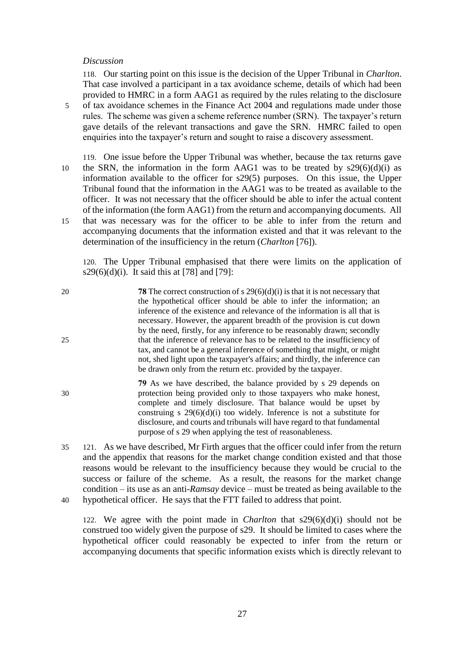### *Discussion*

118. Our starting point on this issue is the decision of the Upper Tribunal in *Charlton*. That case involved a participant in a tax avoidance scheme, details of which had been provided to HMRC in a form AAG1 as required by the rules relating to the disclosure 5 of tax avoidance schemes in the Finance Act 2004 and regulations made under those rules. The scheme was given a scheme reference number (SRN). The taxpayer's return gave details of the relevant transactions and gave the SRN. HMRC failed to open enquiries into the taxpayer's return and sought to raise a discovery assessment.

119. One issue before the Upper Tribunal was whether, because the tax returns gave 10 the SRN, the information in the form AAG1 was to be treated by  $s29(6)(d)(i)$  as information available to the officer for s29(5) purposes. On this issue, the Upper Tribunal found that the information in the AAG1 was to be treated as available to the officer. It was not necessary that the officer should be able to infer the actual content of the information (the form AAG1) from the return and accompanying documents. All 15 that was necessary was for the officer to be able to infer from the return and accompanying documents that the information existed and that it was relevant to the determination of the insufficiency in the return (*Charlton* [76]).

120. The Upper Tribunal emphasised that there were limits on the application of s29(6)(d)(i). It said this at [78] and [79]:

| 20 | <b>78</b> The correct construction of s $29(6)(d)(i)$ is that it is not necessary that                                                                                      |
|----|-----------------------------------------------------------------------------------------------------------------------------------------------------------------------------|
|    | the hypothetical officer should be able to infer the information; an                                                                                                        |
|    | inference of the existence and relevance of the information is all that is                                                                                                  |
|    | necessary. However, the apparent breadth of the provision is cut down<br>by the need, firstly, for any inference to be reasonably drawn; secondly                           |
| 25 | that the inference of relevance has to be related to the insufficiency of                                                                                                   |
|    | tax, and cannot be a general inference of something that might, or might                                                                                                    |
|    | not, shed light upon the taxpayer's affairs; and thirdly, the inference can                                                                                                 |
|    | be drawn only from the return etc. provided by the taxpayer.                                                                                                                |
|    | 79 As we have described, the balance provided by s 29 depends on                                                                                                            |
| 30 | protection being provided only to those taxpayers who make honest,                                                                                                          |
|    | complete and timely disclosure. That balance would be upset by                                                                                                              |
|    | construing s $29(6)(d)(i)$ too widely. Inference is not a substitute for<br>disclosure, and courts and tribunals will have regard to that fundamental                       |
|    | purpose of s 29 when applying the test of reasonableness.                                                                                                                   |
|    |                                                                                                                                                                             |
| 35 | 121. As we have described, Mr Firth argues that the officer could infer from the return                                                                                     |
|    | and the appendix that reasons for the market change condition existed and that those<br>reasons would be relaxant to the insufficiency because they would be empired to the |

reasons would be relevant to the insufficiency because they would be crucial to the success or failure of the scheme. As a result, the reasons for the market change condition – its use as an anti-*Ramsay* device – must be treated as being available to the 40 hypothetical officer. He says that the FTT failed to address that point.

122. We agree with the point made in *Charlton* that s29(6)(d)(i) should not be construed too widely given the purpose of s29. It should be limited to cases where the hypothetical officer could reasonably be expected to infer from the return or accompanying documents that specific information exists which is directly relevant to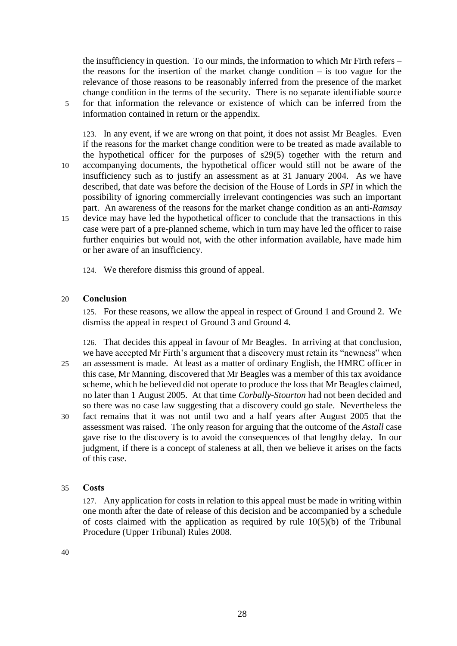the insufficiency in question. To our minds, the information to which Mr Firth refers – the reasons for the insertion of the market change condition  $-$  is too vague for the relevance of those reasons to be reasonably inferred from the presence of the market change condition in the terms of the security. There is no separate identifiable source 5 for that information the relevance or existence of which can be inferred from the information contained in return or the appendix.

123. In any event, if we are wrong on that point, it does not assist Mr Beagles. Even if the reasons for the market change condition were to be treated as made available to the hypothetical officer for the purposes of s29(5) together with the return and 10 accompanying documents, the hypothetical officer would still not be aware of the insufficiency such as to justify an assessment as at 31 January 2004. As we have described, that date was before the decision of the House of Lords in *SPI* in which the possibility of ignoring commercially irrelevant contingencies was such an important part. An awareness of the reasons for the market change condition as an anti-*Ramsay* 15 device may have led the hypothetical officer to conclude that the transactions in this case were part of a pre-planned scheme, which in turn may have led the officer to raise further enquiries but would not, with the other information available, have made him or her aware of an insufficiency.

124. We therefore dismiss this ground of appeal.

### 20 **Conclusion**

125. For these reasons, we allow the appeal in respect of Ground 1 and Ground 2. We dismiss the appeal in respect of Ground 3 and Ground 4.

126. That decides this appeal in favour of Mr Beagles. In arriving at that conclusion, we have accepted Mr Firth's argument that a discovery must retain its "newness" when 25 an assessment is made. At least as a matter of ordinary English, the HMRC officer in this case, Mr Manning, discovered that Mr Beagles was a member of this tax avoidance scheme, which he believed did not operate to produce the loss that Mr Beagles claimed, no later than 1 August 2005. At that time *Corbally-Stourton* had not been decided and so there was no case law suggesting that a discovery could go stale. Nevertheless the 30 fact remains that it was not until two and a half years after August 2005 that the assessment was raised. The only reason for arguing that the outcome of the *Astall* case gave rise to the discovery is to avoid the consequences of that lengthy delay. In our judgment, if there is a concept of staleness at all, then we believe it arises on the facts of this case.

### 35 **Costs**

127. Any application for costs in relation to this appeal must be made in writing within one month after the date of release of this decision and be accompanied by a schedule of costs claimed with the application as required by rule  $10(5)(b)$  of the Tribunal Procedure (Upper Tribunal) Rules 2008.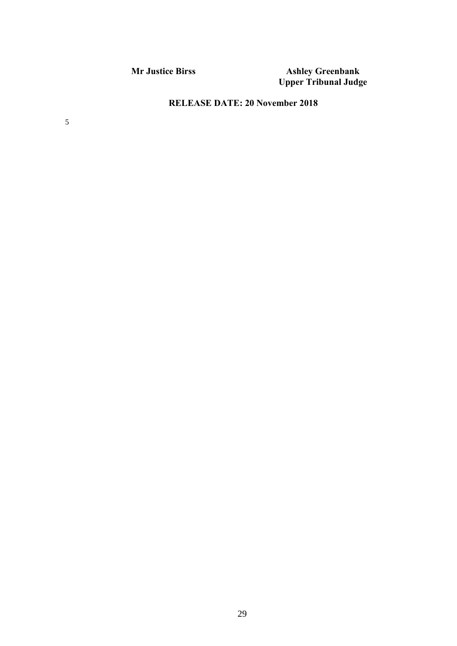**Mr Justice Birss Ashley Greenbank Upper Tribunal Judge**

# **RELEASE DATE: 20 November 2018**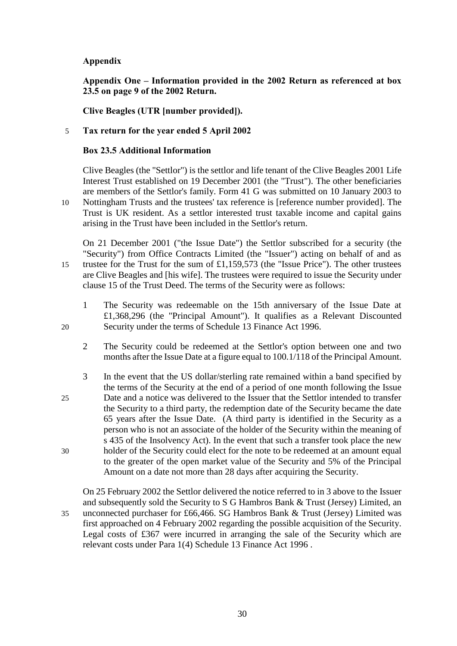## **Appendix**

**Appendix One – Information provided in the 2002 Return as referenced at box 23.5 on page 9 of the 2002 Return.** 

**Clive Beagles (UTR [number provided]).**

## 5 **Tax return for the year ended 5 April 2002**

## **Box 23.5 Additional Information**

Clive Beagles (the "Settlor") is the settlor and life tenant of the Clive Beagles 2001 Life Interest Trust established on 19 December 2001 (the "Trust"). The other beneficiaries are members of the Settlor's family. Form 41 G was submitted on 10 January 2003 to 10 Nottingham Trusts and the trustees' tax reference is [reference number provided]. The

Trust is UK resident. As a settlor interested trust taxable income and capital gains arising in the Trust have been included in the Settlor's return.

On 21 December 2001 ("the Issue Date") the Settlor subscribed for a security (the "Security") from Office Contracts Limited (the "Issuer") acting on behalf of and as 15 trustee for the Trust for the sum of £1,159,573 (the "Issue Price"). The other trustees are Clive Beagles and [his wife]. The trustees were required to issue the Security under clause 15 of the Trust Deed. The terms of the Security were as follows:

- 1 The Security was redeemable on the 15th anniversary of the Issue Date at £1,368,296 (the "Principal Amount"). It qualifies as a Relevant Discounted 20 Security under the terms of Schedule 13 Finance Act 1996.
	- 2 The Security could be redeemed at the Settlor's option between one and two months after the Issue Date at a figure equal to 100.1/118 of the Principal Amount.
- 3 In the event that the US dollar/sterling rate remained within a band specified by the terms of the Security at the end of a period of one month following the Issue 25 Date and a notice was delivered to the Issuer that the Settlor intended to transfer the Security to a third party, the redemption date of the Security became the date 65 years after the Issue Date. (A third party is identified in the Security as a person who is not an associate of the holder of the Security within the meaning of s 435 of the Insolvency Act). In the event that such a transfer took place the new 30 holder of the Security could elect for the note to be redeemed at an amount equal to the greater of the open market value of the Security and 5% of the Principal Amount on a date not more than 28 days after acquiring the Security.

On 25 February 2002 the Settlor delivered the notice referred to in 3 above to the Issuer and subsequently sold the Security to S G Hambros Bank & Trust (Jersey) Limited, an 35 unconnected purchaser for £66,466. SG Hambros Bank & Trust (Jersey) Limited was first approached on 4 February 2002 regarding the possible acquisition of the Security. Legal costs of £367 were incurred in arranging the sale of the Security which are relevant costs under Para 1(4) Schedule 13 Finance Act 1996 .